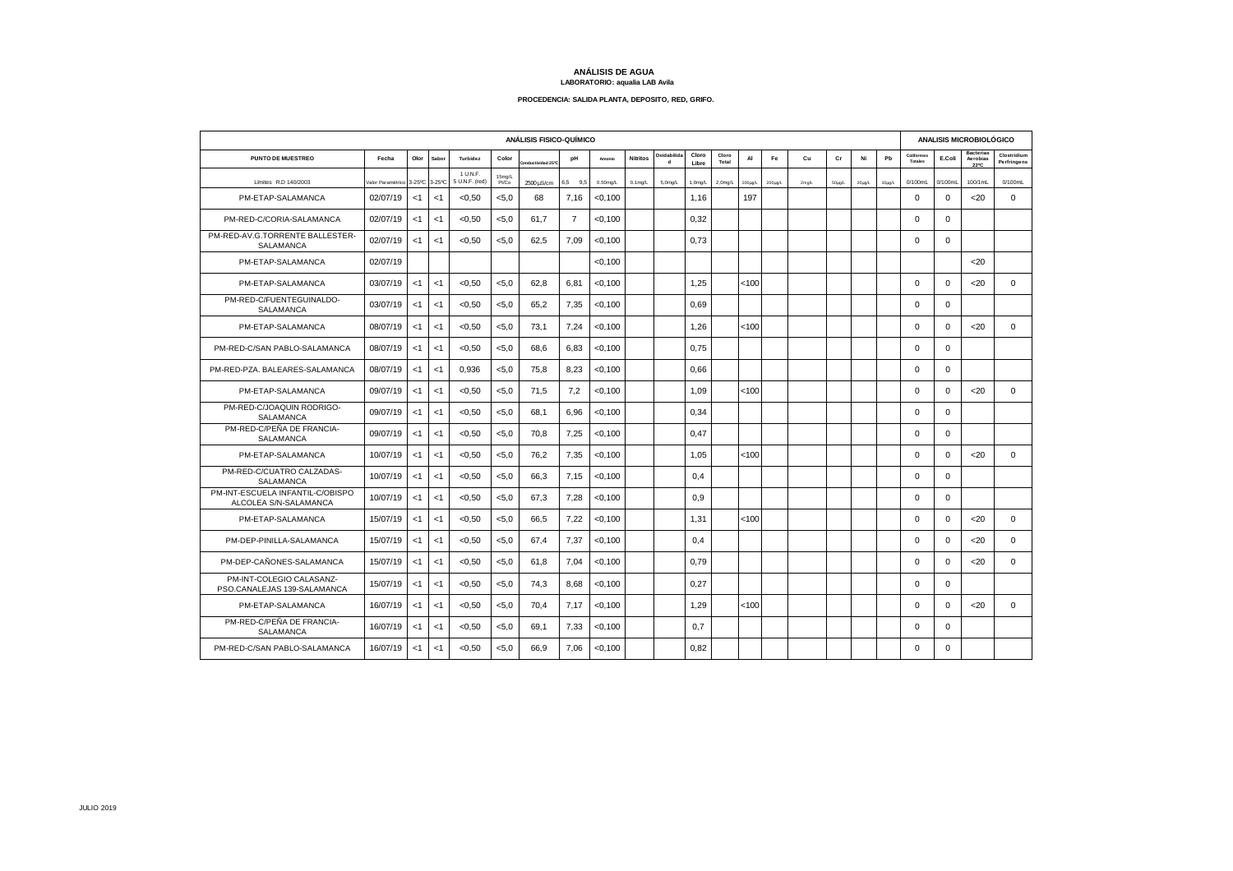## **ANÁLISIS DE AGUA LABORATORIO: aqualia LAB Avila**

## **PROCEDENCIA: SALIDA PLANTA, DEPOSITO, RED, GRIFO.**

| ANÁLISIS FISICO-QUÍMICO                                   |                  |        |        |                            |                 |                             |                |             |                 |                            |                |                |              | ANALISIS MICROBIOLÓGICO |          |             |        |             |                       |             |                                      |                            |
|-----------------------------------------------------------|------------------|--------|--------|----------------------------|-----------------|-----------------------------|----------------|-------------|-----------------|----------------------------|----------------|----------------|--------------|-------------------------|----------|-------------|--------|-------------|-----------------------|-------------|--------------------------------------|----------------------------|
| <b>PUNTO DE MUESTREO</b>                                  | Fecha            | Olor   | Sabor  | Turbidez                   | Color           | nductividad 25 <sup>o</sup> | pH             | Amonio      | <b>Nitritos</b> | Oxidabilida<br>$\mathbf d$ | Cloro<br>Libre | Cloro<br>Total | AI           | Fe                      | Cu       | Cr          | Ni     | Pb          | Coliformes<br>Totales | E.Coli      | <b>Bacterias</b><br>Aerobias<br>22°C | Clostridium<br>Perfringens |
| Límites R.D 140/2003                                      | alor Paramétrico | 3-25°C | 3-25°C | 1 U.N.F.<br>5 U.N.F. (red) | 15mg/L<br>Pt/Co | 2500 µS/cm                  | 6,5 9,5        | $0.50$ mg/L | $0.1$ mg/L      | 5.0 <sub>mq/L</sub>        | $1,0$ mg/L     | 2,0mg/L        | $200\mu$ g/L | $200 \mu$ g/L           | $2$ mg/L | $50\mu g/L$ | 20µg/L | $10\mu$ g/L | 0/100mL               | $0/100$ mL  | 100/1mL                              | 0/100mL                    |
| PM-ETAP-SALAMANCA                                         | 02/07/19         | <1     | < 1    | < 0.50                     | < 5.0           | 68                          | 7.16           | < 0.100     |                 |                            | 1.16           |                | 197          |                         |          |             |        |             | $\Omega$              | $\mathbf 0$ | $20$                                 | $\mathbf 0$                |
| PM-RED-C/CORIA-SALAMANCA                                  | 02/07/19         | <1     | < 1    | < 0.50                     | < 5.0           | 61.7                        | $\overline{7}$ | < 0.100     |                 |                            | 0.32           |                |              |                         |          |             |        |             | $\mathbf 0$           | $\mathbf 0$ |                                      |                            |
| PM-RED-AV.G.TORRENTE BALLESTER-<br><b>SALAMANCA</b>       | 02/07/19         | <1     | < 1    | < 0.50                     | < 5.0           | 62.5                        | 7.09           | < 0.100     |                 |                            | 0.73           |                |              |                         |          |             |        |             | $\mathbf 0$           | $\mathbf 0$ |                                      |                            |
| PM-ETAP-SALAMANCA                                         | 02/07/19         |        |        |                            |                 |                             |                | < 0.100     |                 |                            |                |                |              |                         |          |             |        |             |                       |             | $20$                                 |                            |
| PM-ETAP-SALAMANCA                                         | 03/07/19         | <1     | < 1    | < 0.50                     | < 5.0           | 62.8                        | 6.81           | < 0, 100    |                 |                            | 1,25           |                | 100          |                         |          |             |        |             | $\Omega$              | $\mathbf 0$ | $20$                                 | $\Omega$                   |
| PM-RED-C/FUENTEGUINALDO-<br><b>SALAMANCA</b>              | 03/07/19         | <1     | < 1    | <0,50                      | < 5.0           | 65,2                        | 7,35           | < 0, 100    |                 |                            | 0,69           |                |              |                         |          |             |        |             | $\Omega$              | $\mathbf 0$ |                                      |                            |
| PM-ETAP-SALAMANCA                                         | 08/07/19         | <1     | < 1    | <0,50                      | <5,0            | 73,1                        | 7,24           | < 0, 100    |                 |                            | 1,26           |                | 100          |                         |          |             |        |             | $\mathbf 0$           | $\mathbf 0$ | $20$                                 | $\Omega$                   |
| PM-RED-C/SAN PABLO-SALAMANCA                              | 08/07/19         | < 1    | < 1    | <0,50                      | < 5.0           | 68,6                        | 6,83           | < 0, 100    |                 |                            | 0,75           |                |              |                         |          |             |        |             | 0                     | $\mathbf 0$ |                                      |                            |
| PM-RED-PZA, BALEARES-SALAMANCA                            | 08/07/19         | <1     | <1     | 0.936                      | < 5.0           | 75.8                        | 8.23           | < 0.100     |                 |                            | 0.66           |                |              |                         |          |             |        |             | $\mathbf 0$           | $\mathbf 0$ |                                      |                            |
| PM-ETAP-SALAMANCA                                         | 09/07/19         | <1     | <1     | < 0.50                     | <5,0            | 71.5                        | 7,2            | < 0.100     |                 |                            | 1.09           |                | 100          |                         |          |             |        |             | $\mathbf 0$           | $\mathbf 0$ | $20$                                 | $\mathbf 0$                |
| PM-RED-C/JOAQUIN RODRIGO-<br><b>SALAMANCA</b>             | 09/07/19         | <1     | <1     | < 0.50                     | < 5.0           | 68.1                        | 6.96           | < 0.100     |                 |                            | 0.34           |                |              |                         |          |             |        |             | $\Omega$              | $\Omega$    |                                      |                            |
| PM-RED-C/PEÑA DE FRANCIA-<br>SALAMANCA                    | 09/07/19         | <1     | < 1    | < 0.50                     | < 5.0           | 70.8                        | 7,25           | < 0.100     |                 |                            | 0.47           |                |              |                         |          |             |        |             | $\Omega$              | $\Omega$    |                                      |                            |
| PM-ETAP-SALAMANCA                                         | 10/07/19         | <1     | <1     | < 0.50                     | <5,0            | 76,2                        | 7,35           | < 0, 100    |                 |                            | 1.05           |                | 100          |                         |          |             |        |             | $\Omega$              | $\Omega$    | $20$                                 | $\mathbf 0$                |
| PM-RED-C/CUATRO CALZADAS-<br>SALAMANCA                    | 10/07/19         | <1     | < 1    | <0,50                      | < 5.0           | 66.3                        | 7,15           | < 0, 100    |                 |                            | 0.4            |                |              |                         |          |             |        |             | $\Omega$              | $\Omega$    |                                      |                            |
| PM-INT-ESCUELA INFANTIL-C/OBISPO<br>ALCOLEA S/N-SALAMANCA | 10/07/19         | <1     | <1     | <0,50                      | < 5.0           | 67.3                        | 7,28           | < 0, 100    |                 |                            | 0,9            |                |              |                         |          |             |        |             | $\Omega$              | $\Omega$    |                                      |                            |
| PM-ETAP-SALAMANCA                                         | 15/07/19         | <1     | < 1    | <0,50                      | < 5.0           | 66,5                        | 7,22           | < 0, 100    |                 |                            | 1,31           |                | 100          |                         |          |             |        |             | $\mathbf 0$           | $\Omega$    | $20$                                 | $\mathbf{0}$               |
| PM-DEP-PINILLA-SALAMANCA                                  | 15/07/19         | <1     | <1     | <0,50                      | < 5.0           | 67.4                        | 7,37           | < 0, 100    |                 |                            | 0,4            |                |              |                         |          |             |        |             | $\Omega$              | $\Omega$    | $20$                                 | $\mathbf{0}$               |
| PM-DEP-CAÑONES-SALAMANCA                                  | 15/07/19         | < 1    | < 1    | <0,50                      | < 5.0           | 61,8                        | 7,04           | < 0, 100    |                 |                            | 0,79           |                |              |                         |          |             |        |             | $\mathbf 0$           | $\mathbf 0$ | <20                                  | $\mathbf 0$                |
| PM-INT-COLEGIO CALASANZ-<br>PSO.CANALEJAS 139-SALAMANCA   | 15/07/19         | <1     | <1     | < 0.50                     | < 5.0           | 74.3                        | 8.68           | < 0.100     |                 |                            | 0,27           |                |              |                         |          |             |        |             | $\mathbf 0$           | $\mathbf 0$ |                                      |                            |
| PM-ETAP-SALAMANCA                                         | 16/07/19         | <1     | < 1    | < 0.50                     | < 5.0           | 70.4                        | 7.17           | < 0.100     |                 |                            | 1,29           |                | 100          |                         |          |             |        |             | $\mathbf 0$           | $\mathbf 0$ | $20$                                 | $\mathbf 0$                |
| PM-RED-C/PEÑA DE FRANCIA-<br><b>SALAMANCA</b>             | 16/07/19         | <1     | < 1    | < 0.50                     | < 5.0           | 69.1                        | 7.33           | < 0, 100    |                 |                            | 0.7            |                |              |                         |          |             |        |             | $\Omega$              | $\Omega$    |                                      |                            |
| PM-RED-C/SAN PABLO-SALAMANCA                              | 16/07/19         | <1     | < 1    | < 0.50                     | < 5.0           | 66.9                        | 7.06           | < 0,100     |                 |                            | 0.82           |                |              |                         |          |             |        |             | $\Omega$              | $\Omega$    |                                      |                            |